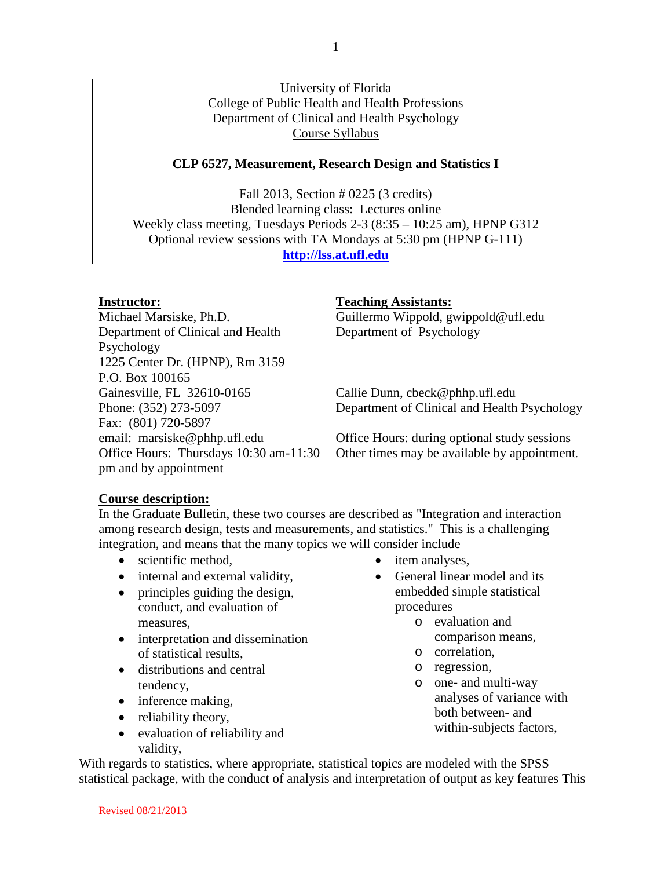# University of Florida College of Public Health and Health Professions Department of Clinical and Health Psychology Course Syllabus

# **CLP 6527, Measurement, Research Design and Statistics I**

Fall 2013, Section # 0225 (3 credits) Blended learning class: Lectures online Weekly class meeting, Tuesdays Periods 2-3 (8:35 – 10:25 am), HPNP G312 Optional review sessions with TA Mondays at 5:30 pm (HPNP G-111) **[http://lss.at.ufl.edu](http://lss.at.ufl.edu/)**

Michael Marsiske, Ph.D. Guillermo Wippold, gwippold@ufl.edu Department of Clinical and Health Psychology 1225 Center Dr. (HPNP), Rm 3159 P.O. Box 100165 Gainesville, FL 32610-0165 Callie Dunn, cbeck@phhp.ufl.edu Fax: (801) 720-5897 Office Hours: Thursdays 10:30 am-11:30 pm and by appointment

#### **Instructor: Teaching Assistants:**

Department of Psychology

Phone: (352) 273-5097 Department of Clinical and Health Psychology

email: marsiske@phhp.ufl.edu Office Hours: during optional study sessions Other times may be available by appointment.

#### **Course description:**

In the Graduate Bulletin, these two courses are described as "Integration and interaction among research design, tests and measurements, and statistics." This is a challenging integration, and means that the many topics we will consider include

- scientific method,
- internal and external validity,
- principles guiding the design, conduct, and evaluation of measures,
- interpretation and dissemination of statistical results,
- distributions and central tendency,
- inference making,
- reliability theory,
- evaluation of reliability and validity,
- item analyses,
- General linear model and its embedded simple statistical procedures
	- o evaluation and comparison means,
	- o correlation,
	- o regression,
	- o one- and multi-way analyses of variance with both between- and within-subjects factors,

With regards to statistics, where appropriate, statistical topics are modeled with the SPSS statistical package, with the conduct of analysis and interpretation of output as key features This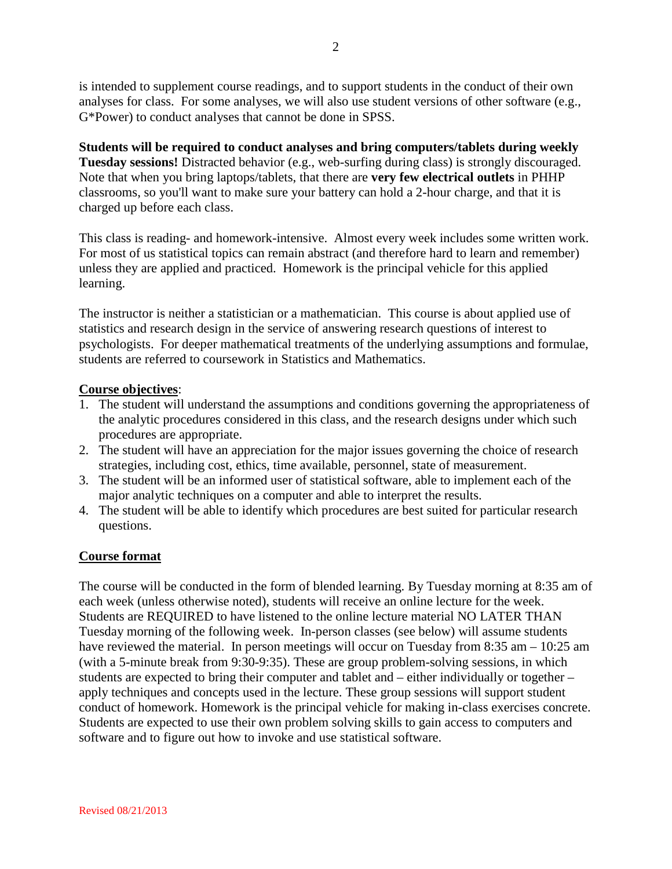is intended to supplement course readings, and to support students in the conduct of their own analyses for class. For some analyses, we will also use student versions of other software (e.g., G\*Power) to conduct analyses that cannot be done in SPSS.

**Students will be required to conduct analyses and bring computers/tablets during weekly Tuesday sessions!** Distracted behavior (e.g., web-surfing during class) is strongly discouraged. Note that when you bring laptops/tablets, that there are **very few electrical outlets** in PHHP classrooms, so you'll want to make sure your battery can hold a 2-hour charge, and that it is charged up before each class.

This class is reading- and homework-intensive. Almost every week includes some written work. For most of us statistical topics can remain abstract (and therefore hard to learn and remember) unless they are applied and practiced. Homework is the principal vehicle for this applied learning.

The instructor is neither a statistician or a mathematician. This course is about applied use of statistics and research design in the service of answering research questions of interest to psychologists. For deeper mathematical treatments of the underlying assumptions and formulae, students are referred to coursework in Statistics and Mathematics.

# **Course objectives**:

- 1. The student will understand the assumptions and conditions governing the appropriateness of the analytic procedures considered in this class, and the research designs under which such procedures are appropriate.
- 2. The student will have an appreciation for the major issues governing the choice of research strategies, including cost, ethics, time available, personnel, state of measurement.
- 3. The student will be an informed user of statistical software, able to implement each of the major analytic techniques on a computer and able to interpret the results.
- 4. The student will be able to identify which procedures are best suited for particular research questions.

# **Course format**

The course will be conducted in the form of blended learning. By Tuesday morning at 8:35 am of each week (unless otherwise noted), students will receive an online lecture for the week. Students are REQUIRED to have listened to the online lecture material NO LATER THAN Tuesday morning of the following week. In-person classes (see below) will assume students have reviewed the material. In person meetings will occur on Tuesday from 8:35 am – 10:25 am (with a 5-minute break from 9:30-9:35). These are group problem-solving sessions, in which students are expected to bring their computer and tablet and – either individually or together – apply techniques and concepts used in the lecture. These group sessions will support student conduct of homework. Homework is the principal vehicle for making in-class exercises concrete. Students are expected to use their own problem solving skills to gain access to computers and software and to figure out how to invoke and use statistical software.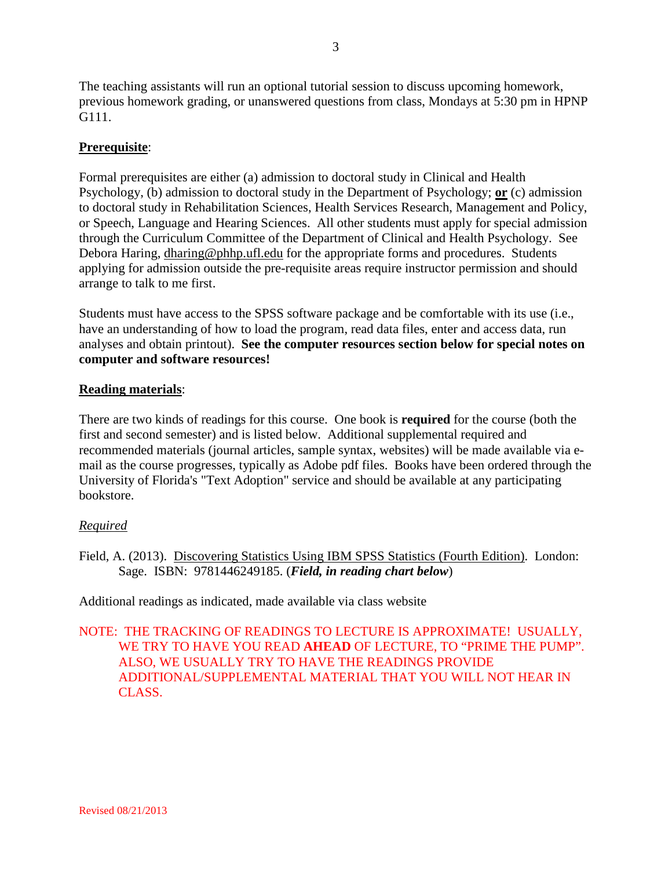The teaching assistants will run an optional tutorial session to discuss upcoming homework, previous homework grading, or unanswered questions from class, Mondays at 5:30 pm in HPNP G111.

# **Prerequisite**:

Formal prerequisites are either (a) admission to doctoral study in Clinical and Health Psychology, (b) admission to doctoral study in the Department of Psychology; **or** (c) admission to doctoral study in Rehabilitation Sciences, Health Services Research, Management and Policy, or Speech, Language and Hearing Sciences. All other students must apply for special admission through the Curriculum Committee of the Department of Clinical and Health Psychology. See Debora Haring, dharing@phhp.ufl.edu for the appropriate forms and procedures. Students applying for admission outside the pre-requisite areas require instructor permission and should arrange to talk to me first.

Students must have access to the SPSS software package and be comfortable with its use (i.e., have an understanding of how to load the program, read data files, enter and access data, run analyses and obtain printout). **See the computer resources section below for special notes on computer and software resources!**

#### **Reading materials**:

There are two kinds of readings for this course. One book is **required** for the course (both the first and second semester) and is listed below. Additional supplemental required and recommended materials (journal articles, sample syntax, websites) will be made available via email as the course progresses, typically as Adobe pdf files. Books have been ordered through the University of Florida's "Text Adoption" service and should be available at any participating bookstore.

#### *Required*

Field, A. (2013). Discovering Statistics Using IBM SPSS Statistics (Fourth Edition). London: Sage. ISBN: 9781446249185. (*Field, in reading chart below*)

Additional readings as indicated, made available via class website

NOTE: THE TRACKING OF READINGS TO LECTURE IS APPROXIMATE! USUALLY, WE TRY TO HAVE YOU READ **AHEAD** OF LECTURE, TO "PRIME THE PUMP". ALSO, WE USUALLY TRY TO HAVE THE READINGS PROVIDE ADDITIONAL/SUPPLEMENTAL MATERIAL THAT YOU WILL NOT HEAR IN CLASS.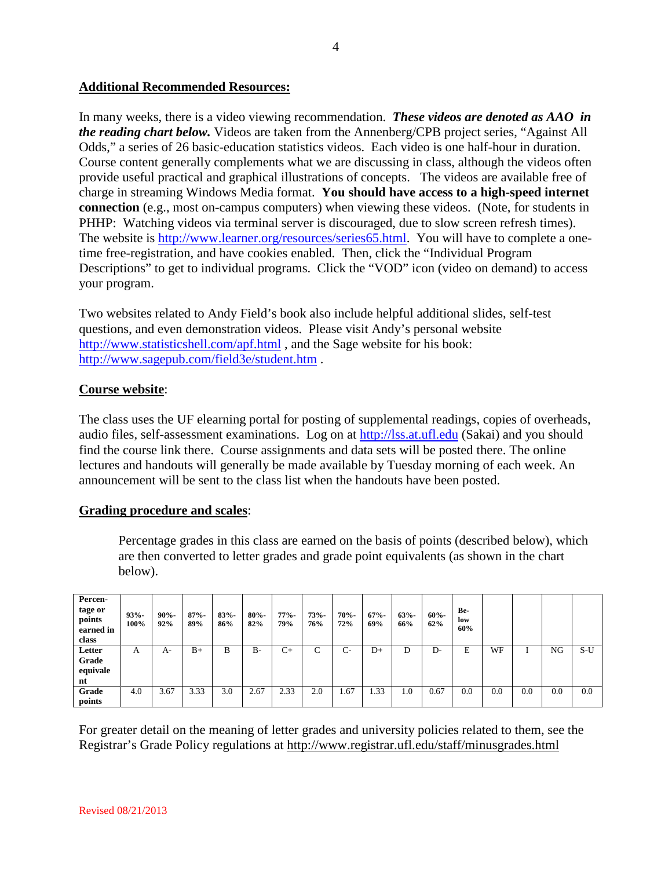### **Additional Recommended Resources:**

In many weeks, there is a video viewing recommendation. *These videos are denoted as AAO in the reading chart below.* Videos are taken from the Annenberg/CPB project series, "Against All Odds," a series of 26 basic-education statistics videos. Each video is one half-hour in duration. Course content generally complements what we are discussing in class, although the videos often provide useful practical and graphical illustrations of concepts. The videos are available free of charge in streaming Windows Media format. **You should have access to a high-speed internet connection** (e.g., most on-campus computers) when viewing these videos. (Note, for students in PHHP: Watching videos via terminal server is discouraged, due to slow screen refresh times). The website is [http://www.learner.org/resources/series65.html.](http://www.learner.org/resources/series65.html) You will have to complete a onetime free-registration, and have cookies enabled. Then, click the "Individual Program Descriptions" to get to individual programs. Click the "VOD" icon (video on demand) to access your program.

Two websites related to Andy Field's book also include helpful additional slides, self-test questions, and even demonstration videos. Please visit Andy's personal website <http://www.statisticshell.com/apf.html> , and the Sage website for his book: <http://www.sagepub.com/field3e/student.htm> .

# **Course website**:

The class uses the UF elearning portal for posting of supplemental readings, copies of overheads, audio files, self-assessment examinations. Log on at [http://lss.at.ufl.edu](http://lss.at.ufl.edu/) (Sakai) and you should find the course link there. Course assignments and data sets will be posted there. The online lectures and handouts will generally be made available by Tuesday morning of each week. An announcement will be sent to the class list when the handouts have been posted.

#### **Grading procedure and scales**:

Percentage grades in this class are earned on the basis of points (described below), which are then converted to letter grades and grade point equivalents (as shown in the chart below).

| Percen-<br>tage or<br>points<br>earned in<br>class | $93% -$<br>100% | $90% -$<br>92% | $87% -$<br>89% | $83% -$<br>86% | $80% -$<br>82% | $77% -$<br>79% | 73%<br>76% | 70%-<br>72% | $67% -$<br>69% | $63% -$<br>66% | $60% -$<br>62% | Be-<br>low<br>60% |     |     |     |       |
|----------------------------------------------------|-----------------|----------------|----------------|----------------|----------------|----------------|------------|-------------|----------------|----------------|----------------|-------------------|-----|-----|-----|-------|
| Letter<br>Grade<br>equivale<br>nt                  | A               | A-             | $B+$           | B              | $B -$          | $C+$           | C          | $C-$        | $D+$           | D              | $D-$           | E                 | WF  |     | NG  | $S-U$ |
| Grade<br>points                                    | 4.0             | 3.67           | 3.33           | 3.0            | 2.67           | 2.33           | 2.0        | 1.67        | 1.33           | 1.0            | 0.67           | 0.0               | 0.0 | 0.0 | 0.0 | 0.0   |

For greater detail on the meaning of letter grades and university policies related to them, see the Registrar's Grade Policy regulations at http://www.registrar.ufl.edu/staff/minusgrades.html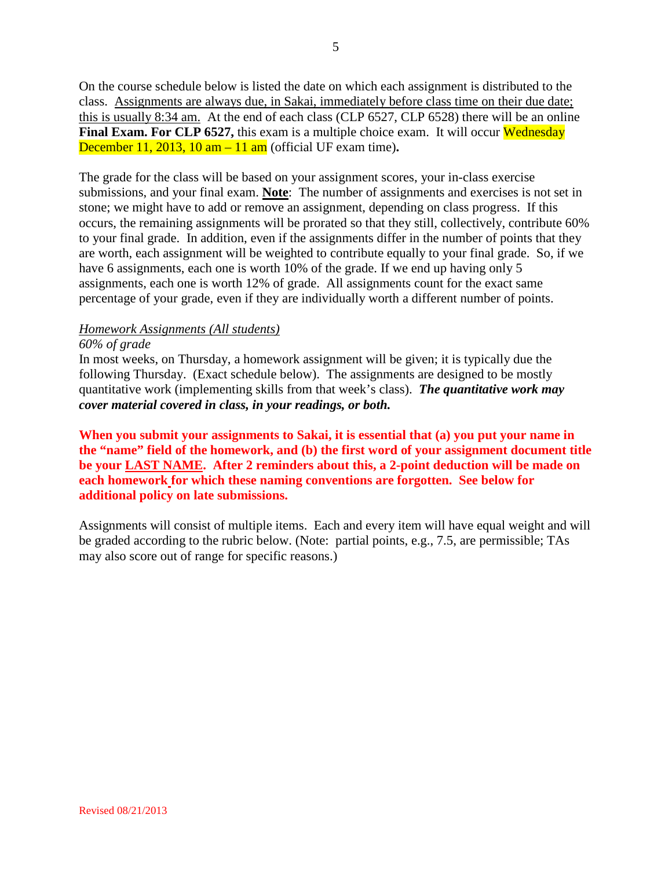On the course schedule below is listed the date on which each assignment is distributed to the class. Assignments are always due, in Sakai, immediately before class time on their due date; this is usually 8:34 am. At the end of each class (CLP 6527, CLP 6528) there will be an online **Final Exam. For CLP 6527, this exam is a multiple choice exam. It will occur Wednesday** December 11, 2013, 10 am – 11 am (official UF exam time)**.** 

The grade for the class will be based on your assignment scores, your in-class exercise submissions, and your final exam. **Note**: The number of assignments and exercises is not set in stone; we might have to add or remove an assignment, depending on class progress. If this occurs, the remaining assignments will be prorated so that they still, collectively, contribute 60% to your final grade. In addition, even if the assignments differ in the number of points that they are worth, each assignment will be weighted to contribute equally to your final grade. So, if we have 6 assignments, each one is worth 10% of the grade. If we end up having only 5 assignments, each one is worth 12% of grade. All assignments count for the exact same percentage of your grade, even if they are individually worth a different number of points.

# *Homework Assignments (All students)*

#### *60% of grade*

In most weeks, on Thursday, a homework assignment will be given; it is typically due the following Thursday. (Exact schedule below). The assignments are designed to be mostly quantitative work (implementing skills from that week's class). *The quantitative work may cover material covered in class, in your readings, or both.*

**When you submit your assignments to Sakai, it is essential that (a) you put your name in the "name" field of the homework, and (b) the first word of your assignment document title be your LAST NAME. After 2 reminders about this, a 2-point deduction will be made on each homework for which these naming conventions are forgotten. See below for additional policy on late submissions.**

Assignments will consist of multiple items. Each and every item will have equal weight and will be graded according to the rubric below. (Note: partial points, e.g., 7.5, are permissible; TAs may also score out of range for specific reasons.)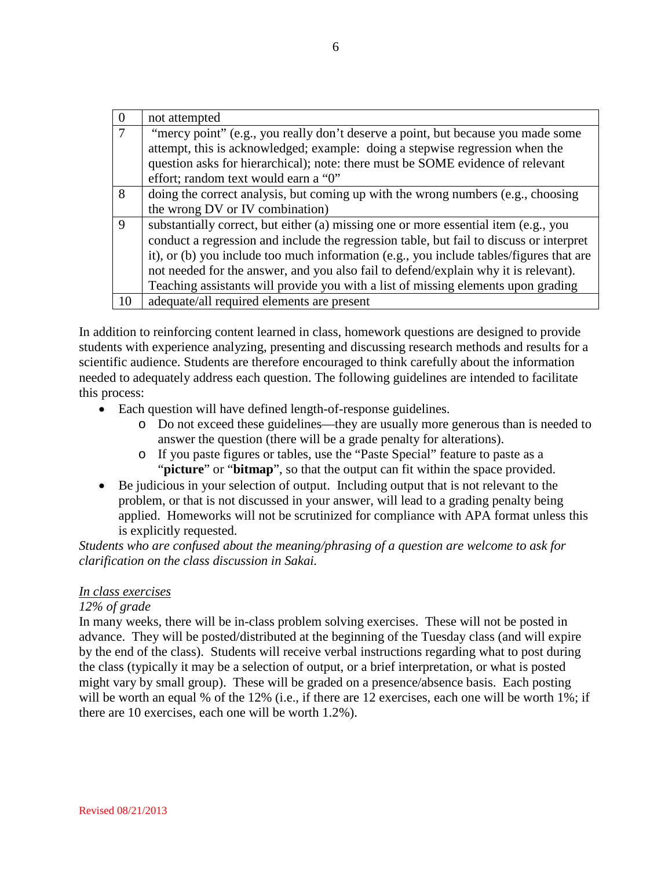| $\overline{0}$ | not attempted                                                                           |
|----------------|-----------------------------------------------------------------------------------------|
| $\overline{7}$ | "mercy point" (e.g., you really don't deserve a point, but because you made some        |
|                | attempt, this is acknowledged; example: doing a stepwise regression when the            |
|                | question asks for hierarchical); note: there must be SOME evidence of relevant          |
|                | effort; random text would earn a "0"                                                    |
| 8              | doing the correct analysis, but coming up with the wrong numbers (e.g., choosing        |
|                | the wrong DV or IV combination)                                                         |
| $\mathbf{Q}$   | substantially correct, but either (a) missing one or more essential item (e.g., you     |
|                | conduct a regression and include the regression table, but fail to discuss or interpret |
|                | it), or (b) you include too much information (e.g., you include tables/figures that are |
|                | not needed for the answer, and you also fail to defend/explain why it is relevant).     |
|                | Teaching assistants will provide you with a list of missing elements upon grading       |
| 10             | adequate/all required elements are present                                              |

In addition to reinforcing content learned in class, homework questions are designed to provide students with experience analyzing, presenting and discussing research methods and results for a scientific audience. Students are therefore encouraged to think carefully about the information needed to adequately address each question. The following guidelines are intended to facilitate this process:

- Each question will have defined length-of-response guidelines.
	- o Do not exceed these guidelines—they are usually more generous than is needed to answer the question (there will be a grade penalty for alterations).
	- o If you paste figures or tables, use the "Paste Special" feature to paste as a "**picture**" or "**bitmap**", so that the output can fit within the space provided.
- Be judicious in your selection of output. Including output that is not relevant to the problem, or that is not discussed in your answer, will lead to a grading penalty being applied. Homeworks will not be scrutinized for compliance with APA format unless this is explicitly requested.

*Students who are confused about the meaning/phrasing of a question are welcome to ask for clarification on the class discussion in Sakai.*

#### *In class exercises*

#### *12% of grade*

In many weeks, there will be in-class problem solving exercises. These will not be posted in advance. They will be posted/distributed at the beginning of the Tuesday class (and will expire by the end of the class). Students will receive verbal instructions regarding what to post during the class (typically it may be a selection of output, or a brief interpretation, or what is posted might vary by small group). These will be graded on a presence/absence basis. Each posting will be worth an equal % of the 12% (i.e., if there are 12 exercises, each one will be worth 1%; if there are 10 exercises, each one will be worth 1.2%).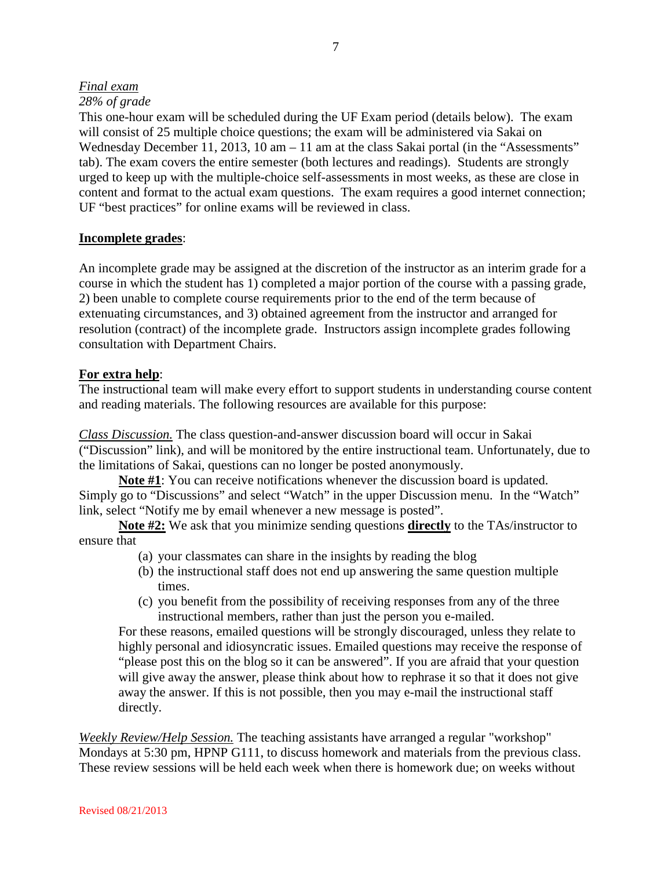# *Final exam*

#### *28% of grade*

This one-hour exam will be scheduled during the UF Exam period (details below). The exam will consist of 25 multiple choice questions; the exam will be administered via Sakai on Wednesday December 11, 2013, 10 am – 11 am at the class Sakai portal (in the "Assessments" tab). The exam covers the entire semester (both lectures and readings). Students are strongly urged to keep up with the multiple-choice self-assessments in most weeks, as these are close in content and format to the actual exam questions. The exam requires a good internet connection; UF "best practices" for online exams will be reviewed in class.

#### **Incomplete grades**:

An incomplete grade may be assigned at the discretion of the instructor as an interim grade for a course in which the student has 1) completed a major portion of the course with a passing grade, 2) been unable to complete course requirements prior to the end of the term because of extenuating circumstances, and 3) obtained agreement from the instructor and arranged for resolution (contract) of the incomplete grade. Instructors assign incomplete grades following consultation with Department Chairs.

#### **For extra help**:

The instructional team will make every effort to support students in understanding course content and reading materials. The following resources are available for this purpose:

*Class Discussion.* The class question-and-answer discussion board will occur in Sakai ("Discussion" link), and will be monitored by the entire instructional team. Unfortunately, due to the limitations of Sakai, questions can no longer be posted anonymously.

**Note #1**: You can receive notifications whenever the discussion board is updated. Simply go to "Discussions" and select "Watch" in the upper Discussion menu. In the "Watch" link, select "Notify me by email whenever a new message is posted".

**Note #2:** We ask that you minimize sending questions **directly** to the TAs/instructor to ensure that

- (a) your classmates can share in the insights by reading the blog
- (b) the instructional staff does not end up answering the same question multiple times.
- (c) you benefit from the possibility of receiving responses from any of the three instructional members, rather than just the person you e-mailed.

For these reasons, emailed questions will be strongly discouraged, unless they relate to highly personal and idiosyncratic issues. Emailed questions may receive the response of "please post this on the blog so it can be answered". If you are afraid that your question will give away the answer, please think about how to rephrase it so that it does not give away the answer. If this is not possible, then you may e-mail the instructional staff directly.

*Weekly Review/Help Session.* The teaching assistants have arranged a regular "workshop" Mondays at 5:30 pm, HPNP G111, to discuss homework and materials from the previous class. These review sessions will be held each week when there is homework due; on weeks without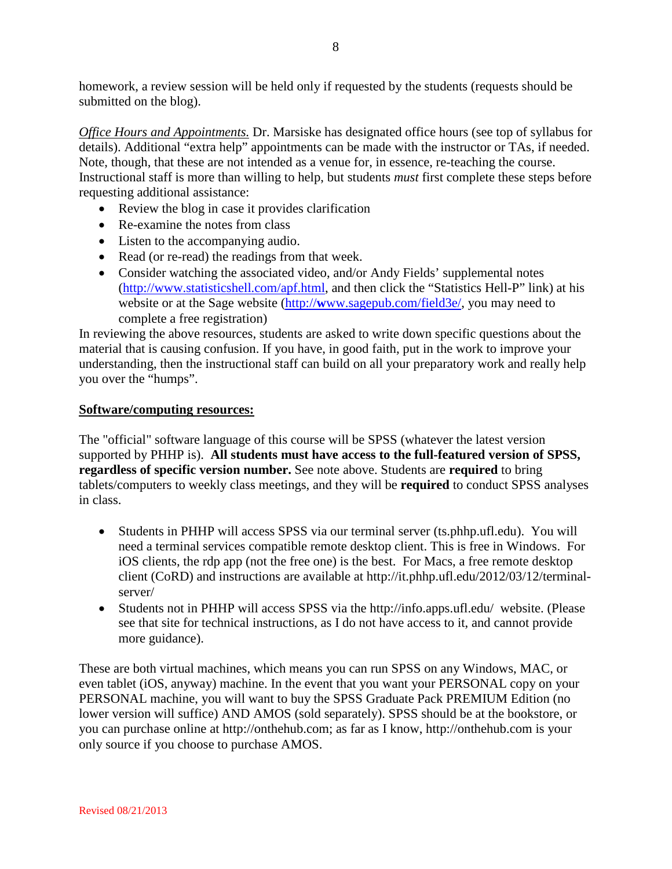homework, a review session will be held only if requested by the students (requests should be submitted on the blog).

*Office Hours and Appointments.* Dr. Marsiske has designated office hours (see top of syllabus for details). Additional "extra help" appointments can be made with the instructor or TAs, if needed. Note, though, that these are not intended as a venue for, in essence, re-teaching the course. Instructional staff is more than willing to help, but students *must* first complete these steps before requesting additional assistance:

- Review the blog in case it provides clarification
- Re-examine the notes from class
- Listen to the accompanying audio.
- Read (or re-read) the readings from that week.
- Consider watching the associated video, and/or Andy Fields' supplemental notes [\(http://www.statisticshell.com/apf.html,](http://www.statisticshell.com/apf.html) and then click the "Statistics Hell-P" link) at his website or at the Sage website (http://**w**[ww.sagepub.com/field3e/,](http://www.sagepub.com/field3e/) you may need to complete a free registration)

In reviewing the above resources, students are asked to write down specific questions about the material that is causing confusion. If you have, in good faith, put in the work to improve your understanding, then the instructional staff can build on all your preparatory work and really help you over the "humps".

# **Software/computing resources:**

The "official" software language of this course will be SPSS (whatever the latest version supported by PHHP is). **All students must have access to the full-featured version of SPSS, regardless of specific version number.** See note above. Students are **required** to bring tablets/computers to weekly class meetings, and they will be **required** to conduct SPSS analyses in class.

- Students in PHHP will access SPSS via our terminal server (ts.phhp.ufl.edu). You will need a terminal services compatible remote desktop client. This is free in Windows. For iOS clients, the rdp app (not the free one) is the best. For Macs, a free remote desktop client (CoRD) and instructions are available at http://it.phhp.ufl.edu/2012/03/12/terminalserver/
- Students not in PHHP will access SPSS via the http://info.apps.ufl.edu/ website. (Please see that site for technical instructions, as I do not have access to it, and cannot provide more guidance).

These are both virtual machines, which means you can run SPSS on any Windows, MAC, or even tablet (iOS, anyway) machine. In the event that you want your PERSONAL copy on your PERSONAL machine, you will want to buy the SPSS Graduate Pack PREMIUM Edition (no lower version will suffice) AND AMOS (sold separately). SPSS should be at the bookstore, or you can purchase online at http://onthehub.com; as far as I know, http://onthehub.com is your only source if you choose to purchase AMOS.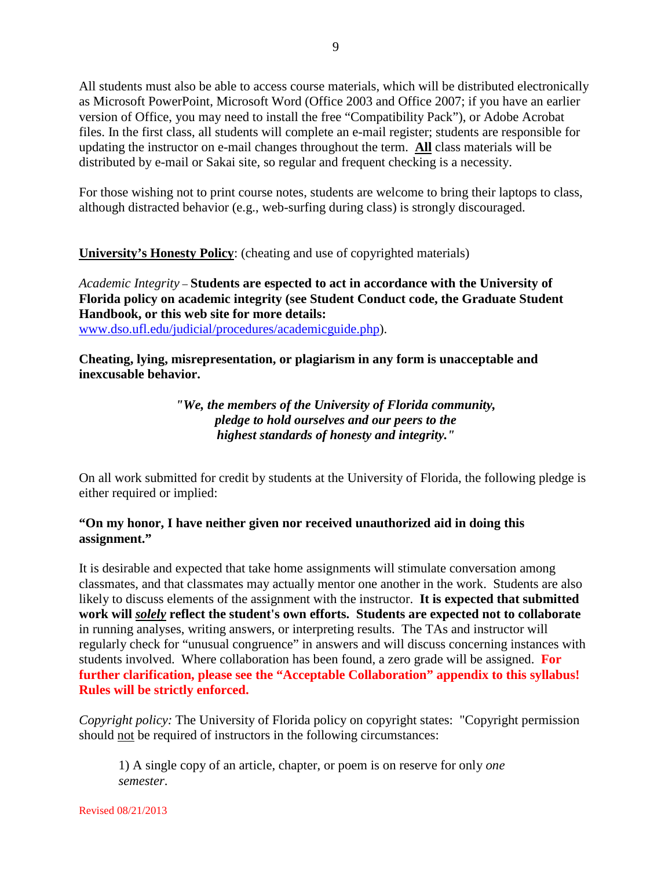All students must also be able to access course materials, which will be distributed electronically as Microsoft PowerPoint, Microsoft Word (Office 2003 and Office 2007; if you have an earlier version of Office, you may need to install the free "Compatibility Pack"), or Adobe Acrobat files. In the first class, all students will complete an e-mail register; students are responsible for updating the instructor on e-mail changes throughout the term. **All** class materials will be distributed by e-mail or Sakai site, so regular and frequent checking is a necessity.

For those wishing not to print course notes, students are welcome to bring their laptops to class, although distracted behavior (e.g., web-surfing during class) is strongly discouraged.

**University's Honesty Policy**: (cheating and use of copyrighted materials)

*Academic Integrity* – **Students are espected to act in accordance with the University of Florida policy on academic integrity (see Student Conduct code, the Graduate Student Handbook, or this web site for more details:**  [www.dso.ufl.edu/judicial/procedures/academicguide.php\)](http://www.dso.ufl.edu/judicial/procedures/academicguide.php).

**Cheating, lying, misrepresentation, or plagiarism in any form is unacceptable and inexcusable behavior.**

> *"We, the members of the University of Florida community, pledge to hold ourselves and our peers to the highest standards of honesty and integrity."*

On all work submitted for credit by students at the University of Florida, the following pledge is either required or implied:

# **"On my honor, I have neither given nor received unauthorized aid in doing this assignment."**

It is desirable and expected that take home assignments will stimulate conversation among classmates, and that classmates may actually mentor one another in the work. Students are also likely to discuss elements of the assignment with the instructor. **It is expected that submitted work will** *solely* **reflect the student's own efforts. Students are expected not to collaborate** in running analyses, writing answers, or interpreting results. The TAs and instructor will regularly check for "unusual congruence" in answers and will discuss concerning instances with students involved. Where collaboration has been found, a zero grade will be assigned. **For further clarification, please see the "Acceptable Collaboration" appendix to this syllabus! Rules will be strictly enforced.**

*Copyright policy:* The University of Florida policy on copyright states: "Copyright permission should not be required of instructors in the following circumstances:

1) A single copy of an article, chapter, or poem is on reserve for only *one semester*.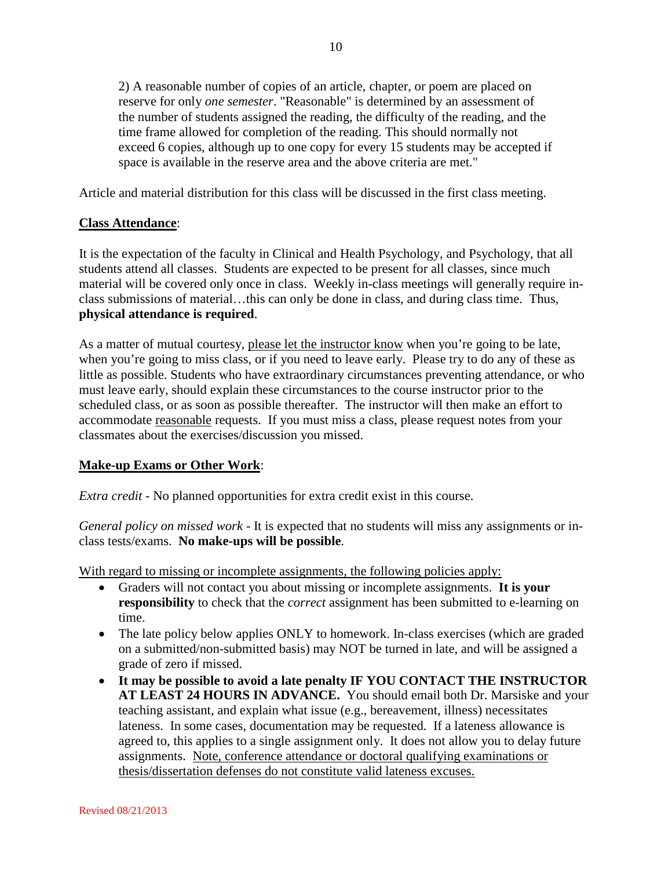2) A reasonable number of copies of an article, chapter, or poem are placed on reserve for only *one semester*. "Reasonable" is determined by an assessment of the number of students assigned the reading, the difficulty of the reading, and the time frame allowed for completion of the reading. This should normally not exceed 6 copies, although up to one copy for every 15 students may be accepted if space is available in the reserve area and the above criteria are met."

Article and material distribution for this class will be discussed in the first class meeting.

# **Class Attendance**:

It is the expectation of the faculty in Clinical and Health Psychology, and Psychology, that all students attend all classes. Students are expected to be present for all classes, since much material will be covered only once in class. Weekly in-class meetings will generally require inclass submissions of material…this can only be done in class, and during class time. Thus, **physical attendance is required**.

As a matter of mutual courtesy, please let the instructor know when you're going to be late, when you're going to miss class, or if you need to leave early. Please try to do any of these as little as possible. Students who have extraordinary circumstances preventing attendance, or who must leave early, should explain these circumstances to the course instructor prior to the scheduled class, or as soon as possible thereafter. The instructor will then make an effort to accommodate reasonable requests. If you must miss a class, please request notes from your classmates about the exercises/discussion you missed.

#### **Make-up Exams or Other Work**:

*Extra credit* - No planned opportunities for extra credit exist in this course.

*General policy on missed work* - It is expected that no students will miss any assignments or inclass tests/exams. **No make-ups will be possible**.

With regard to missing or incomplete assignments, the following policies apply:

- Graders will not contact you about missing or incomplete assignments. **It is your responsibility** to check that the *correct* assignment has been submitted to e-learning on time.
- The late policy below applies ONLY to homework. In-class exercises (which are graded on a submitted/non-submitted basis) may NOT be turned in late, and will be assigned a grade of zero if missed.
- **It may be possible to avoid a late penalty IF YOU CONTACT THE INSTRUCTOR AT LEAST 24 HOURS IN ADVANCE.** You should email both Dr. Marsiske and your teaching assistant, and explain what issue (e.g., bereavement, illness) necessitates lateness. In some cases, documentation may be requested. If a lateness allowance is agreed to, this applies to a single assignment only. It does not allow you to delay future assignments. Note, conference attendance or doctoral qualifying examinations or thesis/dissertation defenses do not constitute valid lateness excuses.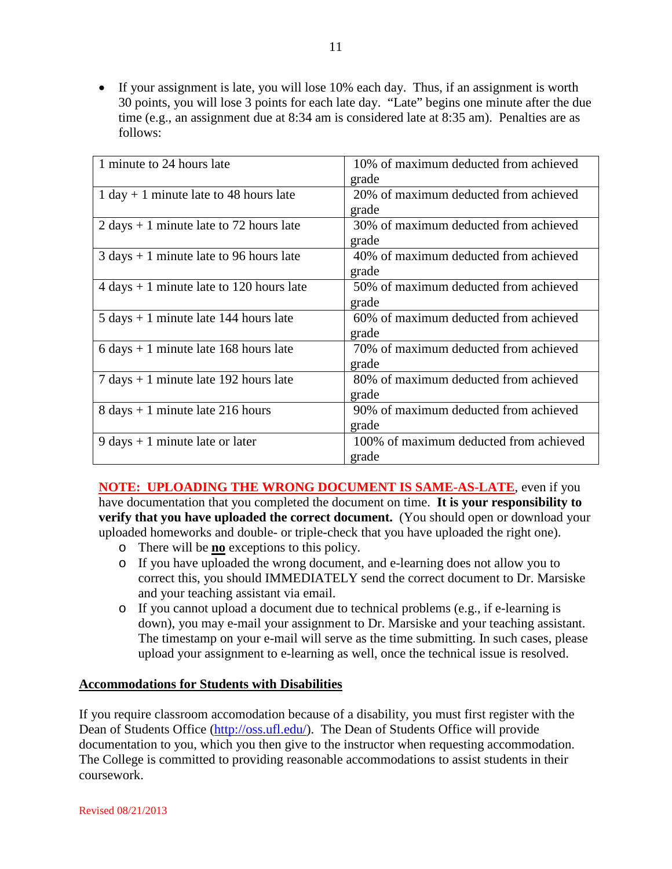• If your assignment is late, you will lose 10% each day. Thus, if an assignment is worth 30 points, you will lose 3 points for each late day. "Late" begins one minute after the due time (e.g., an assignment due at 8:34 am is considered late at 8:35 am). Penalties are as follows:

| 1 minute to 24 hours late                                  | 10% of maximum deducted from achieved  |
|------------------------------------------------------------|----------------------------------------|
|                                                            | grade                                  |
| $1 day + 1 minute$ late to 48 hours late                   | 20% of maximum deducted from achieved  |
|                                                            | grade                                  |
| $2 \text{ days} + 1 \text{ minute}$ late to 72 hours late  | 30% of maximum deducted from achieved  |
|                                                            | grade                                  |
| $3 \text{ days} + 1 \text{ minute}$ late to 96 hours late  | 40% of maximum deducted from achieved  |
|                                                            | grade                                  |
| $4 \text{ days} + 1 \text{ minute}$ late to 120 hours late | 50% of maximum deducted from achieved  |
|                                                            | grade                                  |
| $5 \text{ days} + 1 \text{ minute}$ late 144 hours late    | 60% of maximum deducted from achieved  |
|                                                            | grade                                  |
| $6 \text{ days} + 1 \text{ minute}$ late 168 hours late    | 70% of maximum deducted from achieved  |
|                                                            | grade                                  |
| $7 \text{ days} + 1 \text{ minute}$ late 192 hours late    | 80% of maximum deducted from achieved  |
|                                                            | grade                                  |
| $8 \text{ days} + 1 \text{ minute}$ late 216 hours         | 90% of maximum deducted from achieved  |
|                                                            | grade                                  |
| $9 \text{ days} + 1 \text{ minute}$ late or later          | 100% of maximum deducted from achieved |
|                                                            | grade                                  |

**NOTE: UPLOADING THE WRONG DOCUMENT IS SAME-AS-LATE**, even if you have documentation that you completed the document on time. **It is your responsibility to verify that you have uploaded the correct document.** (You should open or download your uploaded homeworks and double- or triple-check that you have uploaded the right one).

- o There will be **no** exceptions to this policy.
- o If you have uploaded the wrong document, and e-learning does not allow you to correct this, you should IMMEDIATELY send the correct document to Dr. Marsiske and your teaching assistant via email.
- o If you cannot upload a document due to technical problems (e.g., if e-learning is down), you may e-mail your assignment to Dr. Marsiske and your teaching assistant. The timestamp on your e-mail will serve as the time submitting. In such cases, please upload your assignment to e-learning as well, once the technical issue is resolved.

#### **Accommodations for Students with Disabilities**

If you require classroom accomodation because of a disability, you must first register with the Dean of Students Office [\(http://oss.ufl.edu/\)](http://oss.ufl.edu/). The Dean of Students Office will provide documentation to you, which you then give to the instructor when requesting accommodation. The College is committed to providing reasonable accommodations to assist students in their coursework.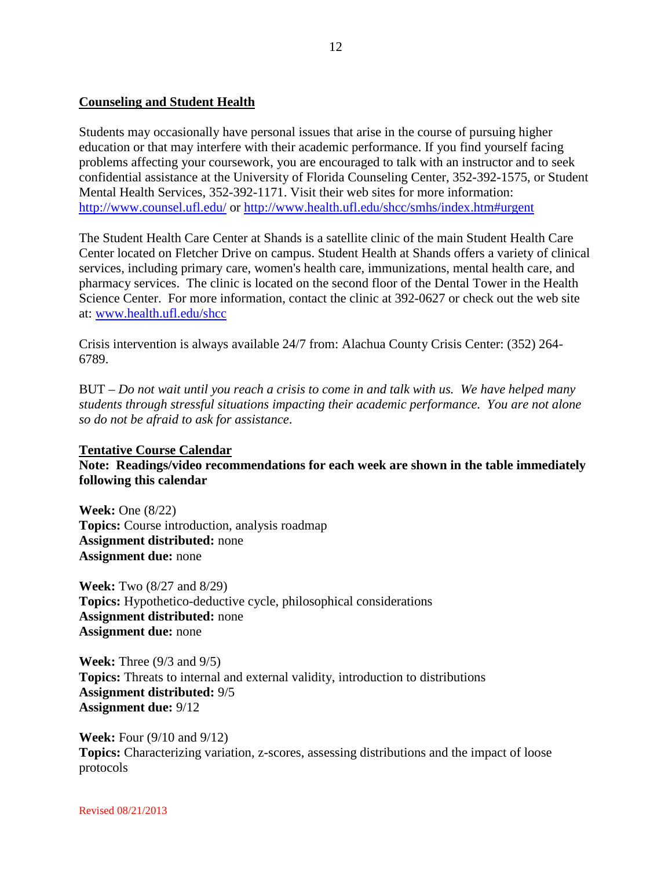### **Counseling and Student Health**

Students may occasionally have personal issues that arise in the course of pursuing higher education or that may interfere with their academic performance. If you find yourself facing problems affecting your coursework, you are encouraged to talk with an instructor and to seek confidential assistance at the University of Florida Counseling Center, 352-392-1575, or Student Mental Health Services, 352-392-1171. Visit their web sites for more information: <http://www.counsel.ufl.edu/> or<http://www.health.ufl.edu/shcc/smhs/index.htm#urgent>

The Student Health Care Center at Shands is a satellite clinic of the main Student Health Care Center located on Fletcher Drive on campus. Student Health at Shands offers a variety of clinical services, including primary care, women's health care, immunizations, mental health care, and pharmacy services. The clinic is located on the second floor of the Dental Tower in the Health Science Center. For more information, contact the clinic at 392-0627 or check out the web site at: [www.health.ufl.edu/shcc](http://www.health.ufl.edu/shcc)

Crisis intervention is always available 24/7 from: Alachua County Crisis Center: (352) 264- 6789.

BUT – *Do not wait until you reach a crisis to come in and talk with us. We have helped many students through stressful situations impacting their academic performance. You are not alone so do not be afraid to ask for assistance*.

#### **Tentative Course Calendar**

**Note: Readings/video recommendations for each week are shown in the table immediately following this calendar**

**Week:** One (8/22) **Topics:** Course introduction, analysis roadmap **Assignment distributed:** none **Assignment due:** none

**Week:** Two (8/27 and 8/29) **Topics:** Hypothetico-deductive cycle, philosophical considerations **Assignment distributed:** none **Assignment due:** none

**Week:** Three (9/3 and 9/5) **Topics:** Threats to internal and external validity, introduction to distributions **Assignment distributed:** 9/5 **Assignment due:** 9/12

**Week:** Four (9/10 and 9/12) **Topics:** Characterizing variation, z-scores, assessing distributions and the impact of loose protocols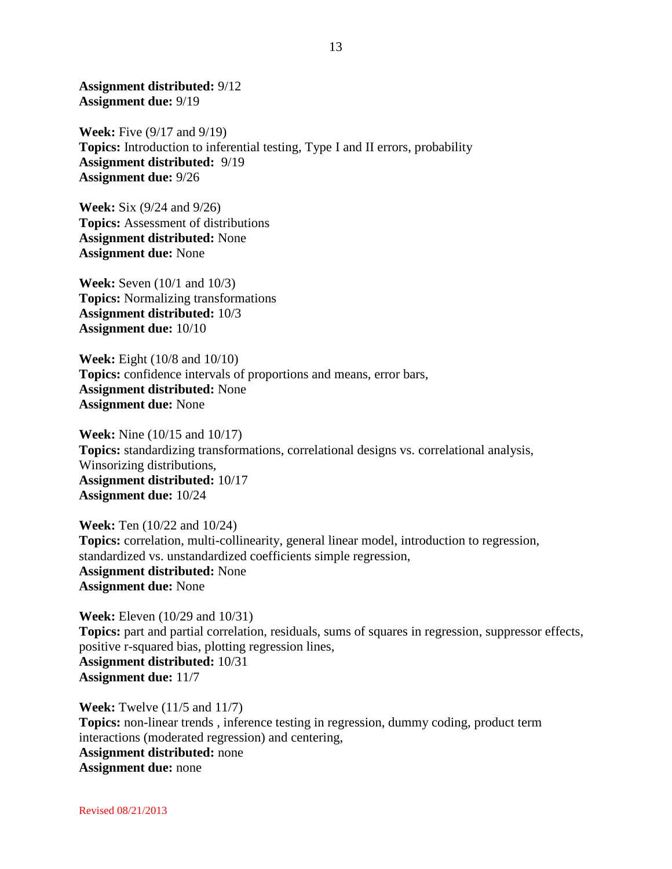**Assignment distributed:** 9/12 **Assignment due:** 9/19

**Week:** Five (9/17 and 9/19) **Topics:** Introduction to inferential testing, Type I and II errors, probability **Assignment distributed:** 9/19 **Assignment due:** 9/26

**Week:** Six (9/24 and 9/26) **Topics:** Assessment of distributions **Assignment distributed:** None **Assignment due:** None

**Week:** Seven (10/1 and 10/3) **Topics:** Normalizing transformations **Assignment distributed:** 10/3 **Assignment due:** 10/10

**Week:** Eight (10/8 and 10/10) **Topics:** confidence intervals of proportions and means, error bars, **Assignment distributed:** None **Assignment due:** None

**Week:** Nine (10/15 and 10/17) **Topics:** standardizing transformations, correlational designs vs. correlational analysis, Winsorizing distributions, **Assignment distributed:** 10/17 **Assignment due:** 10/24

**Week:** Ten (10/22 and 10/24) **Topics:** correlation, multi-collinearity, general linear model, introduction to regression, standardized vs. unstandardized coefficients simple regression, **Assignment distributed:** None **Assignment due:** None

**Week:** Eleven (10/29 and 10/31) **Topics:** part and partial correlation, residuals, sums of squares in regression, suppressor effects, positive r-squared bias, plotting regression lines, **Assignment distributed:** 10/31 **Assignment due:** 11/7

**Week:** Twelve (11/5 and 11/7) **Topics:** non-linear trends , inference testing in regression, dummy coding, product term interactions (moderated regression) and centering, **Assignment distributed:** none **Assignment due:** none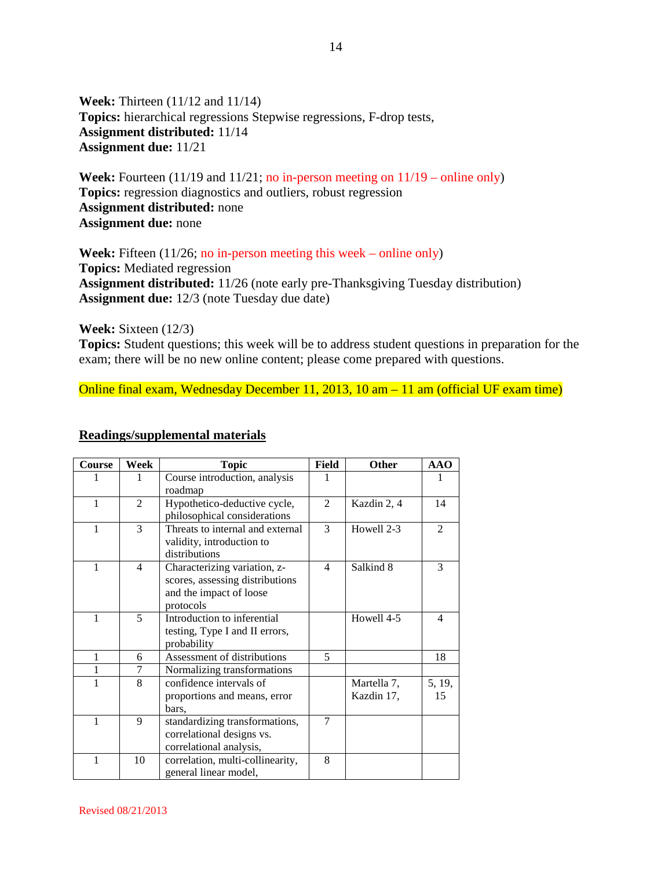**Week:** Thirteen (11/12 and 11/14) **Topics:** hierarchical regressions Stepwise regressions, F-drop tests, **Assignment distributed:** 11/14 **Assignment due:** 11/21

**Week:** Fourteen (11/19 and 11/21; no in-person meeting on  $11/19$  – online only) **Topics:** regression diagnostics and outliers, robust regression **Assignment distributed:** none **Assignment due:** none

Week: Fifteen (11/26; no in-person meeting this week – online only) **Topics:** Mediated regression **Assignment distributed:** 11/26 (note early pre-Thanksgiving Tuesday distribution) **Assignment due:** 12/3 (note Tuesday due date)

**Week:** Sixteen (12/3)

**Topics:** Student questions; this week will be to address student questions in preparation for the exam; there will be no new online content; please come prepared with questions.

Online final exam, Wednesday December 11, 2013, 10 am – 11 am (official UF exam time)

#### **Readings/supplemental materials**

| Course       | Week           | <b>Topic</b>                     | Field          | Other        | <b>AAO</b>                  |
|--------------|----------------|----------------------------------|----------------|--------------|-----------------------------|
|              | 1              | Course introduction, analysis    |                |              |                             |
|              |                | roadmap                          |                |              |                             |
| $\mathbf{1}$ | 2              | Hypothetico-deductive cycle,     | $\mathfrak{D}$ | Kazdin 2, 4  | 14                          |
|              |                | philosophical considerations     |                |              |                             |
| $\mathbf{1}$ | 3              | Threats to internal and external | 3              | Howell 2-3   | $\mathcal{D}_{\mathcal{L}}$ |
|              |                | validity, introduction to        |                |              |                             |
|              |                | distributions                    |                |              |                             |
| 1            | $\overline{4}$ | Characterizing variation, z-     | $\overline{4}$ | Salkind 8    | 3                           |
|              |                | scores, assessing distributions  |                |              |                             |
|              |                | and the impact of loose          |                |              |                             |
|              |                | protocols                        |                |              |                             |
| 1            | 5              | Introduction to inferential      |                | Howell $4-5$ | 4                           |
|              |                | testing, Type I and II errors,   |                |              |                             |
|              |                | probability                      |                |              |                             |
| 1            | 6              | Assessment of distributions      | 5              |              | 18                          |
| 1            | 7              | Normalizing transformations      |                |              |                             |
| 1            | 8              | confidence intervals of          |                | Martella 7,  | 5, 19,                      |
|              |                | proportions and means, error     |                | Kazdin 17,   | 15                          |
|              |                | bars,                            |                |              |                             |
| 1            | $\mathbf{Q}$   | standardizing transformations,   | 7              |              |                             |
|              |                | correlational designs vs.        |                |              |                             |
|              |                | correlational analysis,          |                |              |                             |
| 1            | 10             | correlation, multi-collinearity, | 8              |              |                             |
|              |                | general linear model,            |                |              |                             |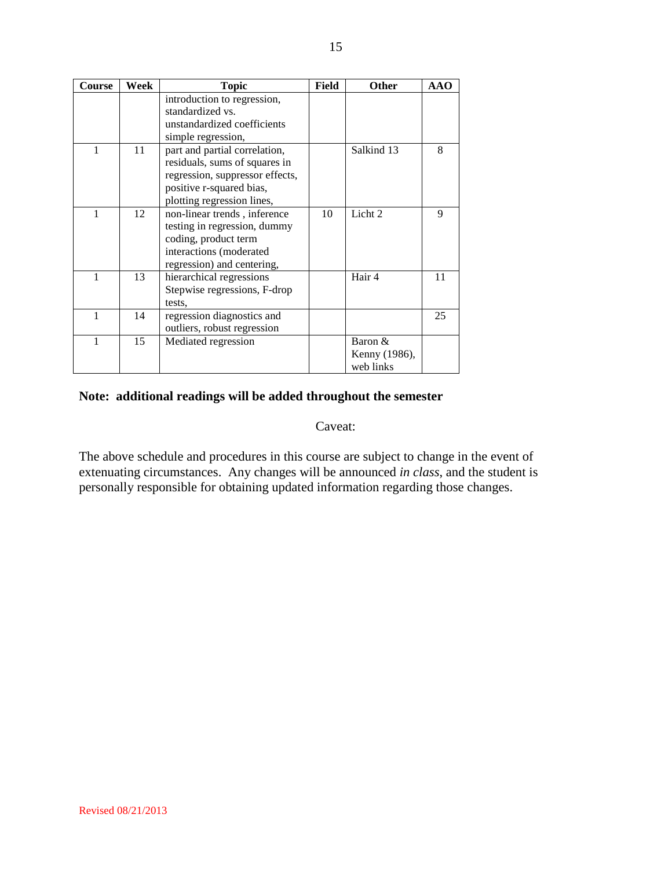| Course       | Week | <b>Topic</b>                    | Field | Other              | <b>AAO</b> |
|--------------|------|---------------------------------|-------|--------------------|------------|
|              |      | introduction to regression,     |       |                    |            |
|              |      | standardized vs.                |       |                    |            |
|              |      | unstandardized coefficients     |       |                    |            |
|              |      | simple regression,              |       |                    |            |
| 1            | 11   | part and partial correlation,   |       | Salkind 13         | 8          |
|              |      | residuals, sums of squares in   |       |                    |            |
|              |      | regression, suppressor effects, |       |                    |            |
|              |      | positive r-squared bias,        |       |                    |            |
|              |      | plotting regression lines,      |       |                    |            |
| 1            | 12   | non-linear trends, inference    | 10    | Licht <sub>2</sub> | 9          |
|              |      | testing in regression, dummy    |       |                    |            |
|              |      | coding, product term            |       |                    |            |
|              |      | interactions (moderated         |       |                    |            |
|              |      | regression) and centering,      |       |                    |            |
| $\mathbf{1}$ | 13   | hierarchical regressions        |       | Hair 4             | 11         |
|              |      | Stepwise regressions, F-drop    |       |                    |            |
|              |      | tests.                          |       |                    |            |
| 1            | 14   | regression diagnostics and      |       |                    | 25         |
|              |      | outliers, robust regression     |       |                    |            |
| 1            | 15   | Mediated regression             |       | Baron &            |            |
|              |      |                                 |       | Kenny (1986),      |            |
|              |      |                                 |       | web links          |            |

# **Note: additional readings will be added throughout the semester**

#### Caveat:

The above schedule and procedures in this course are subject to change in the event of extenuating circumstances. Any changes will be announced *in class*, and the student is personally responsible for obtaining updated information regarding those changes.

Revised 08/21/2013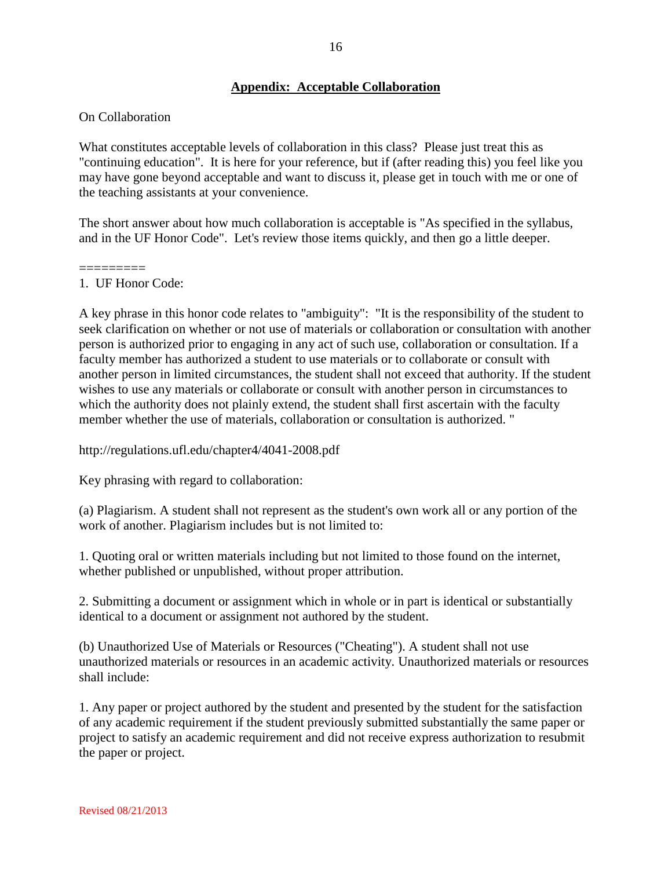# **Appendix: Acceptable Collaboration**

#### On Collaboration

What constitutes acceptable levels of collaboration in this class? Please just treat this as "continuing education". It is here for your reference, but if (after reading this) you feel like you may have gone beyond acceptable and want to discuss it, please get in touch with me or one of the teaching assistants at your convenience.

The short answer about how much collaboration is acceptable is "As specified in the syllabus, and in the UF Honor Code". Let's review those items quickly, and then go a little deeper.

#### ========= 1. UF Honor Code:

A key phrase in this honor code relates to "ambiguity": "It is the responsibility of the student to seek clarification on whether or not use of materials or collaboration or consultation with another person is authorized prior to engaging in any act of such use, collaboration or consultation. If a faculty member has authorized a student to use materials or to collaborate or consult with another person in limited circumstances, the student shall not exceed that authority. If the student wishes to use any materials or collaborate or consult with another person in circumstances to which the authority does not plainly extend, the student shall first ascertain with the faculty member whether the use of materials, collaboration or consultation is authorized. "

http://regulations.ufl.edu/chapter4/4041-2008.pdf

Key phrasing with regard to collaboration:

(a) Plagiarism. A student shall not represent as the student's own work all or any portion of the work of another. Plagiarism includes but is not limited to:

1. Quoting oral or written materials including but not limited to those found on the internet, whether published or unpublished, without proper attribution.

2. Submitting a document or assignment which in whole or in part is identical or substantially identical to a document or assignment not authored by the student.

(b) Unauthorized Use of Materials or Resources ("Cheating"). A student shall not use unauthorized materials or resources in an academic activity. Unauthorized materials or resources shall include:

1. Any paper or project authored by the student and presented by the student for the satisfaction of any academic requirement if the student previously submitted substantially the same paper or project to satisfy an academic requirement and did not receive express authorization to resubmit the paper or project.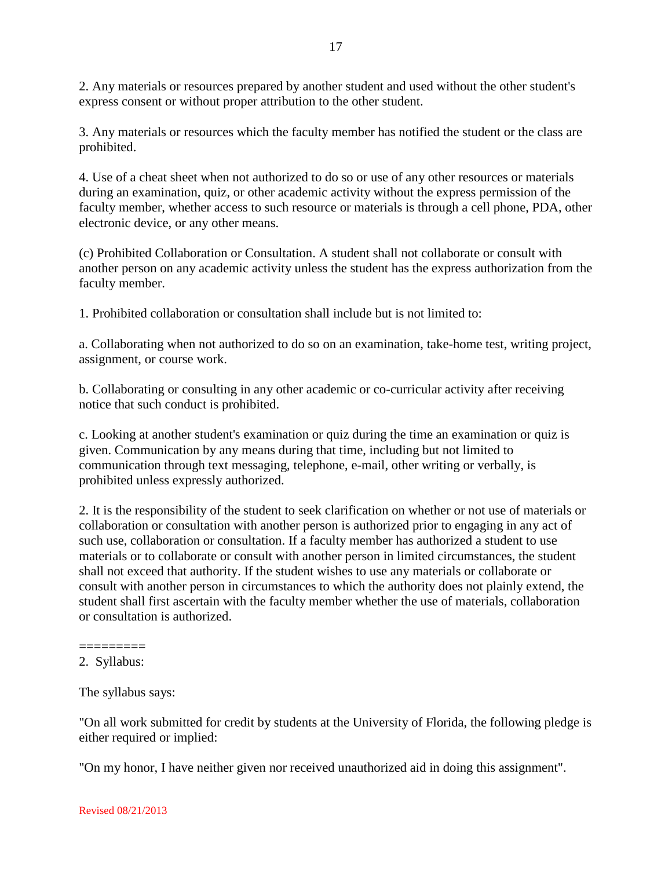2. Any materials or resources prepared by another student and used without the other student's express consent or without proper attribution to the other student.

3. Any materials or resources which the faculty member has notified the student or the class are prohibited.

4. Use of a cheat sheet when not authorized to do so or use of any other resources or materials during an examination, quiz, or other academic activity without the express permission of the faculty member, whether access to such resource or materials is through a cell phone, PDA, other electronic device, or any other means.

(c) Prohibited Collaboration or Consultation. A student shall not collaborate or consult with another person on any academic activity unless the student has the express authorization from the faculty member.

1. Prohibited collaboration or consultation shall include but is not limited to:

a. Collaborating when not authorized to do so on an examination, take-home test, writing project, assignment, or course work.

b. Collaborating or consulting in any other academic or co-curricular activity after receiving notice that such conduct is prohibited.

c. Looking at another student's examination or quiz during the time an examination or quiz is given. Communication by any means during that time, including but not limited to communication through text messaging, telephone, e-mail, other writing or verbally, is prohibited unless expressly authorized.

2. It is the responsibility of the student to seek clarification on whether or not use of materials or collaboration or consultation with another person is authorized prior to engaging in any act of such use, collaboration or consultation. If a faculty member has authorized a student to use materials or to collaborate or consult with another person in limited circumstances, the student shall not exceed that authority. If the student wishes to use any materials or collaborate or consult with another person in circumstances to which the authority does not plainly extend, the student shall first ascertain with the faculty member whether the use of materials, collaboration or consultation is authorized.

"On all work submitted for credit by students at the University of Florida, the following pledge is either required or implied:

"On my honor, I have neither given nor received unauthorized aid in doing this assignment".

<sup>=========</sup> 2. Syllabus:

The syllabus says: